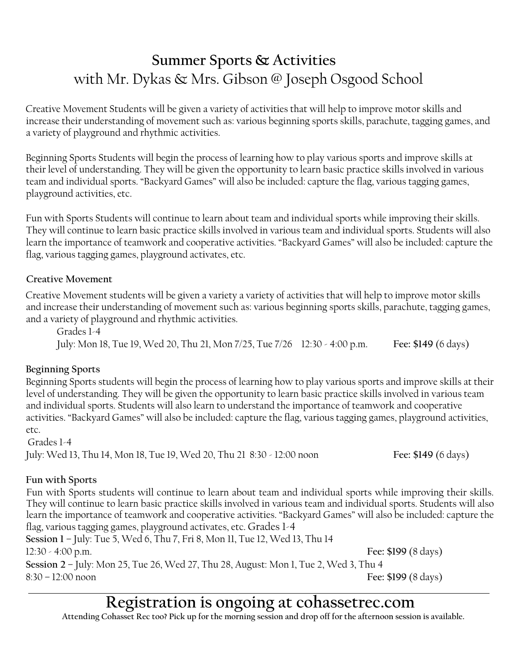# **Summer Sports & Activities**  with Mr. Dykas & Mrs. Gibson @ Joseph Osgood School

Creative Movement Students will be given a variety of activities that will help to improve motor skills and increase their understanding of movement such as: various beginning sports skills, parachute, tagging games, and a variety of playground and rhythmic activities.

Beginning Sports Students will begin the process of learning how to play various sports and improve skills at their level of understanding. They will be given the opportunity to learn basic practice skills involved in various team and individual sports. "Backyard Games" will also be included: capture the flag, various tagging games, playground activities, etc.

Fun with Sports Students will continue to learn about team and individual sports while improving their skills. They will continue to learn basic practice skills involved in various team and individual sports. Students will also learn the importance of teamwork and cooperative activities. "Backyard Games" will also be included: capture the flag, various tagging games, playground activates, etc.

#### **Creative Movement**

Creative Movement students will be given a variety a variety of activities that will help to improve motor skills and increase their understanding of movement such as: various beginning sports skills, parachute, tagging games, and a variety of playground and rhythmic activities.

Grades 1-4 July: Mon 18, Tue 19, Wed 20, Thu 21, Mon 7/25, Tue 7/26 12:30 - 4:00 p.m. **Fee: \$149** (6 days)

### **Beginning Sports**

Beginning Sports students will begin the process of learning how to play various sports and improve skills at their level of understanding. They will be given the opportunity to learn basic practice skills involved in various team and individual sports. Students will also learn to understand the importance of teamwork and cooperative activities. "Backyard Games" will also be included: capture the flag, various tagging games, playground activities, etc.

Grades 1-4 July: Wed 13, Thu 14, Mon 18, Tue 19, Wed 20, Thu 21 8:30 - 12:00 noon **Fee: \$149** (6 days)

### **Fun with Sports**

Fun with Sports students will continue to learn about team and individual sports while improving their skills. They will continue to learn basic practice skills involved in various team and individual sports. Students will also learn the importance of teamwork and cooperative activities. "Backyard Games" will also be included: capture the flag, various tagging games, playground activates, etc. Grades 1-4 **Session 1** – July: Tue 5, Wed 6, Thu 7, Fri 8, Mon 11, Tue 12, Wed 13, Thu 14 12:30 - 4:00 p.m. **Fee: \$199** (8 days)

**Session 2** – July: Mon 25, Tue 26, Wed 27, Thu 28, August: Mon 1, Tue 2, Wed 3, Thu 4 8:30 – 12:00 noon **Fee: \$199** (8 days)

# **Registration is ongoing at cohassetrec.com**

**Attending Cohasset Rec too? Pick up for the morning session and drop off for the afternoon session is available.**